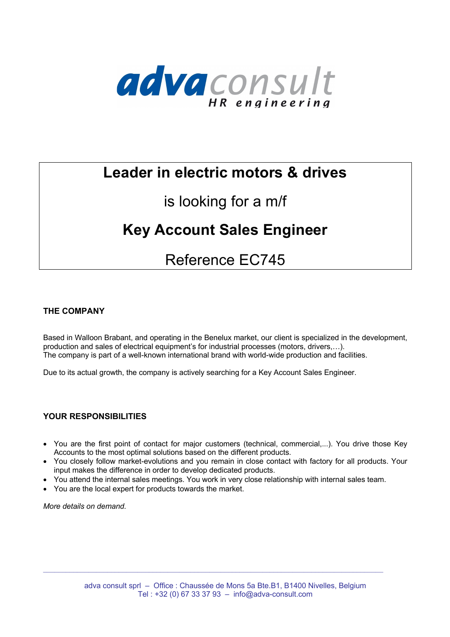

## **Leader in electric motors & drives**

## is looking for a m/f

# **Key Account Sales Engineer**

## Reference EC745

### **THE COMPANY**

Based in Walloon Brabant, and operating in the Benelux market, our client is specialized in the development, production and sales of electrical equipment's for industrial processes (motors, drivers,…). The company is part of a well-known international brand with world-wide production and facilities.

Due to its actual growth, the company is actively searching for a Key Account Sales Engineer.

### **YOUR RESPONSIBILITIES**

- You are the first point of contact for major customers (technical, commercial,...). You drive those Key Accounts to the most optimal solutions based on the different products.
- You closely follow market-evolutions and you remain in close contact with factory for all products. Your input makes the difference in order to develop dedicated products.
- You attend the internal sales meetings. You work in very close relationship with internal sales team.
- You are the local expert for products towards the market.

*More details on demand.*